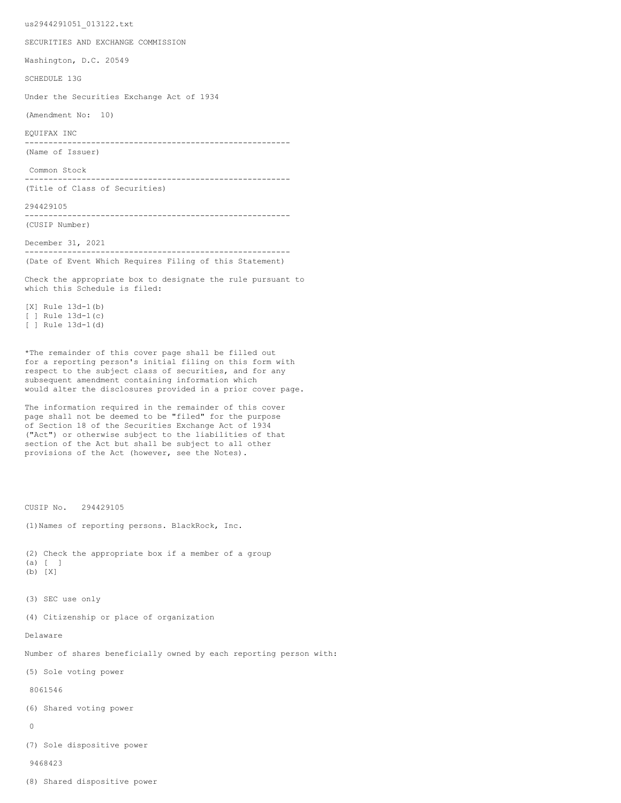us2944291051\_013122.txt

SECURITIES AND EXCHANGE COMMISSION

Washington, D.C. 20549

SCHEDULE 13G

Under the Securities Exchange Act of 1934

(Amendment No: 10)

## EQUIFAX INC

-------------------------------------------------------- (Name of Issuer)

Common Stock

-------------------------------------------------------- (Title of Class of Securities)

## 294429105

-------------------------------------------------------- (CUSIP Number)

December 31, 2021

-------------------------------------------------------- (Date of Event Which Requires Filing of this Statement)

Check the appropriate box to designate the rule pursuant to which this Schedule is filed:

[X] Rule 13d-1(b) [ ] Rule 13d-1(c) [ ] Rule 13d-1(d)

\*The remainder of this cover page shall be filled out for a reporting person's initial filing on this form with respect to the subject class of securities, and for any subsequent amendment containing information which would alter the disclosures provided in a prior cover page.

The information required in the remainder of this cover page shall not be deemed to be "filed" for the purpose of Section 18 of the Securities Exchange Act of 1934 ("Act") or otherwise subject to the liabilities of that section of the Act but shall be subject to all other provisions of the Act (however, see the Notes).

```
CUSIP No. 294429105
```
(1)Names of reporting persons. BlackRock, Inc.

```
(2) Check the appropriate box if a member of a group
(a) [ ]
(b) [X]
```
- 
- (3) SEC use only

(4) Citizenship or place of organization

Delaware

Number of shares beneficially owned by each reporting person with:

(5) Sole voting power

8061546

(6) Shared voting power

 $\Omega$ 

(7) Sole dispositive power

9468423

(8) Shared dispositive power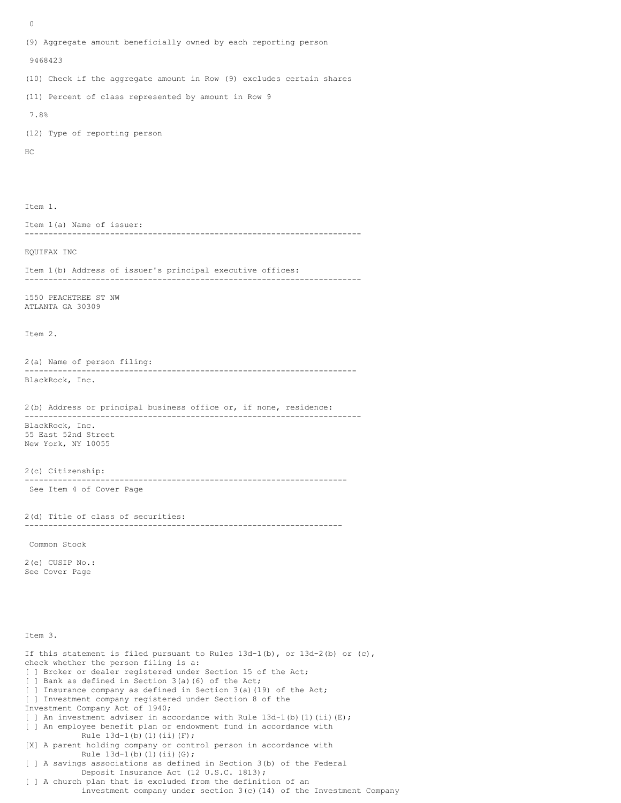0 (9) Aggregate amount beneficially owned by each reporting person 9468423 (10) Check if the aggregate amount in Row (9) excludes certain shares (11) Percent of class represented by amount in Row 9 7.8% (12) Type of reporting person HC Item 1. Item 1(a) Name of issuer: ----------------------------------------------------------------------- EQUIFAX INC Item 1(b) Address of issuer's principal executive offices: ----------------------------------------------------------------------- 1550 PEACHTREE ST NW ATLANTA GA 30309 Item 2. 2(a) Name of person filing: ---------------------------------------------------------------------- BlackRock, Inc. 2(b) Address or principal business office or, if none, residence: ----------------------------------------------------------------------- BlackRock, Inc. 55 East 52nd Street New York, NY 10055 2(c) Citizenship: -------------------------------------------------------------------- See Item 4 of Cover Page 2(d) Title of class of securities: ------------------------------------------------------------------- Common Stock 2(e) CUSIP No.: See Cover Page Item 3. If this statement is filed pursuant to Rules  $13d-1(b)$ , or  $13d-2(b)$  or  $(c)$ , check whether the person filing is a: [ ] Broker or dealer registered under Section 15 of the Act; [ ] Bank as defined in Section 3(a)(6) of the Act; [ ] Insurance company as defined in Section 3(a)(19) of the Act; [ ] Investment company registered under Section 8 of the Investment Company Act of 1940; [ ] An investment adviser in accordance with Rule  $13d-1$ (b)(1)(ii)(E); [ ] An employee benefit plan or endowment fund in accordance with Rule  $13d-1(b)$  (1)(ii)(F); [X] A parent holding company or control person in accordance with Rule 13d-1(b)(1)(ii)(G);

[ ] A savings associations as defined in Section 3(b) of the Federal Deposit Insurance Act (12 U.S.C. 1813);

[ ] A church plan that is excluded from the definition of an investment company under section 3(c)(14) of the Investment Company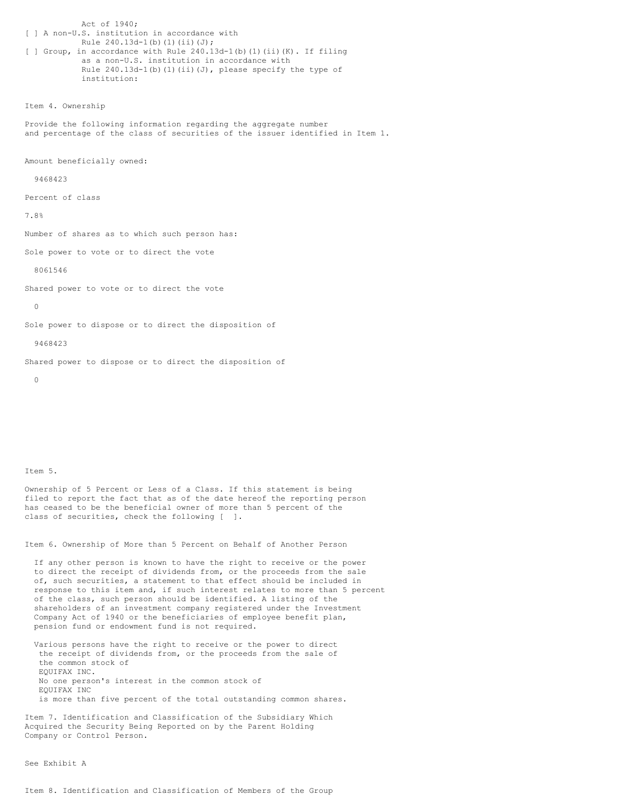Act of 1940; [ ] A non-U.S. institution in accordance with Rule 240.13d-1(b)(1)(ii)(J); [ ] Group, in accordance with Rule 240.13d-1(b)(1)(ii)(K). If filing as a non-U.S. institution in accordance with Rule  $240.13d-1$ (b)(1)(ii)(J), please specify the type of institution:

Item 4. Ownership

Provide the following information regarding the aggregate number and percentage of the class of securities of the issuer identified in Item 1.

Amount beneficially owned:

9468423

Percent of class

7.8%

Number of shares as to which such person has:

Sole power to vote or to direct the vote

8061546

Shared power to vote or to direct the vote

 $\cap$ 

Sole power to dispose or to direct the disposition of

9468423

Shared power to dispose or to direct the disposition of

 $\Omega$ 

## Item 5.

Ownership of 5 Percent or Less of a Class. If this statement is being filed to report the fact that as of the date hereof the reporting person has ceased to be the beneficial owner of more than 5 percent of the class of securities, check the following [ ].

Item 6. Ownership of More than 5 Percent on Behalf of Another Person

If any other person is known to have the right to receive or the power to direct the receipt of dividends from, or the proceeds from the sale of, such securities, a statement to that effect should be included in response to this item and, if such interest relates to more than 5 percent of the class, such person should be identified. A listing of the shareholders of an investment company registered under the Investment Company Act of 1940 or the beneficiaries of employee benefit plan, pension fund or endowment fund is not required.

Various persons have the right to receive or the power to direct the receipt of dividends from, or the proceeds from the sale of the common stock of EQUIFAX INC. No one person's interest in the common stock of EQUIFAX INC is more than five percent of the total outstanding common shares.

Item 7. Identification and Classification of the Subsidiary Which Acquired the Security Being Reported on by the Parent Holding Company or Control Person.

See Exhibit A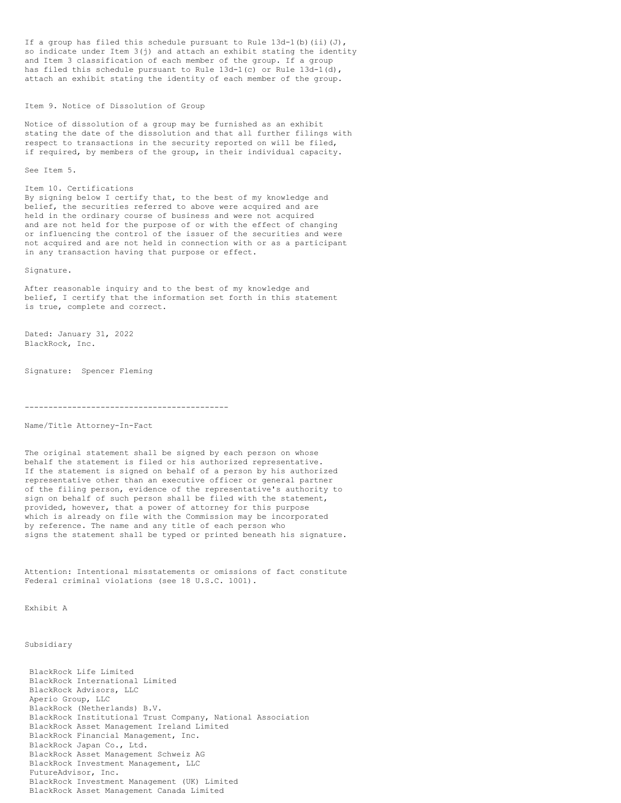If a group has filed this schedule pursuant to Rule  $13d-1$ (b)(ii)(J), so indicate under Item 3(j) and attach an exhibit stating the identity and Item 3 classification of each member of the group. If a group has filed this schedule pursuant to Rule  $13d-1(c)$  or Rule  $13d-1(d)$ , attach an exhibit stating the identity of each member of the group.

Item 9. Notice of Dissolution of Group

Notice of dissolution of a group may be furnished as an exhibit stating the date of the dissolution and that all further filings with respect to transactions in the security reported on will be filed, if required, by members of the group, in their individual capacity.

See Item 5.

## Item 10. Certifications

By signing below I certify that, to the best of my knowledge and belief, the securities referred to above were acquired and are held in the ordinary course of business and were not acquired and are not held for the purpose of or with the effect of changing or influencing the control of the issuer of the securities and were not acquired and are not held in connection with or as a participant in any transaction having that purpose or effect.

Signature.

After reasonable inquiry and to the best of my knowledge and belief, I certify that the information set forth in this statement is true, complete and correct.

Dated: January 31, 2022 BlackRock, Inc.

Signature: Spencer Fleming

-------------------------------------------

Name/Title Attorney-In-Fact

The original statement shall be signed by each person on whose behalf the statement is filed or his authorized representative. If the statement is signed on behalf of a person by his authorized representative other than an executive officer or general partner of the filing person, evidence of the representative's authority to sign on behalf of such person shall be filed with the statement, provided, however, that a power of attorney for this purpose which is already on file with the Commission may be incorporated by reference. The name and any title of each person who signs the statement shall be typed or printed beneath his signature.

Attention: Intentional misstatements or omissions of fact constitute Federal criminal violations (see 18 U.S.C. 1001).

Exhibit A

Subsidiary

BlackRock Life Limited BlackRock International Limited BlackRock Advisors, LLC Aperio Group, LLC BlackRock (Netherlands) B.V. BlackRock Institutional Trust Company, National Association BlackRock Asset Management Ireland Limited BlackRock Financial Management, Inc. BlackRock Japan Co., Ltd. BlackRock Asset Management Schweiz AG BlackRock Investment Management, LLC FutureAdvisor, Inc. BlackRock Investment Management (UK) Limited BlackRock Asset Management Canada Limited